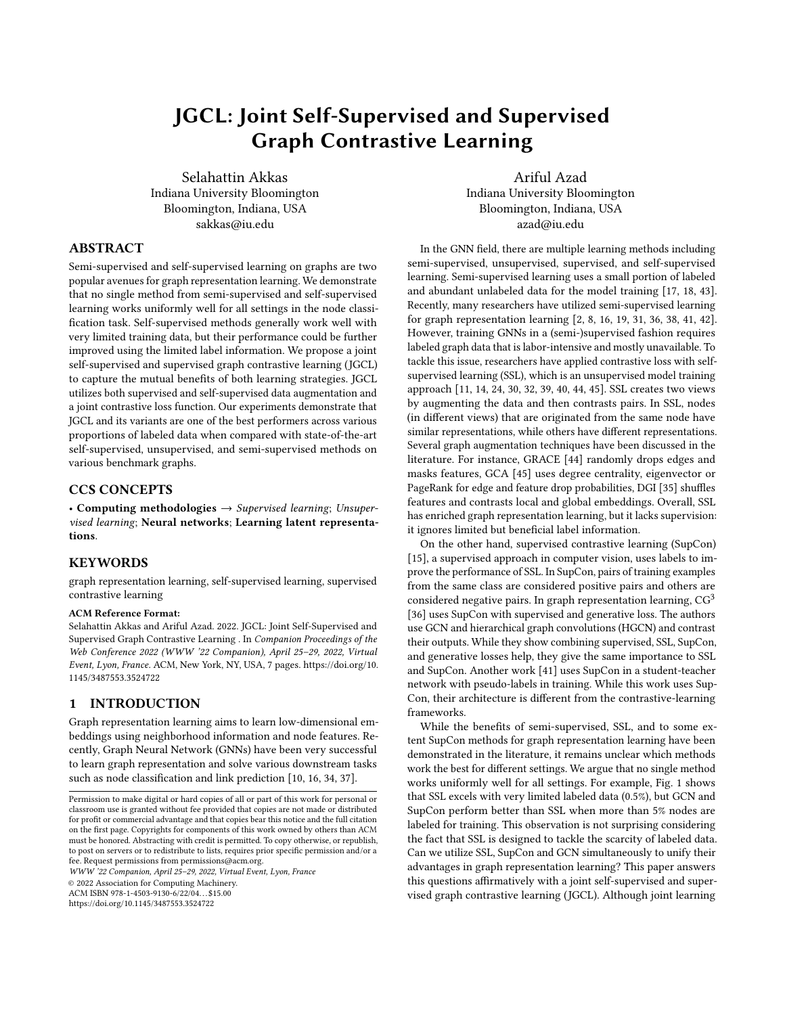# JGCL: Joint Self-Supervised and Supervised Graph Contrastive Learning

Selahattin Akkas Indiana University Bloomington Bloomington, Indiana, USA sakkas@iu.edu

Ariful Azad Indiana University Bloomington Bloomington, Indiana, USA azad@iu.edu

## ABSTRACT

Semi-supervised and self-supervised learning on graphs are two popular avenues for graph representation learning. We demonstrate that no single method from semi-supervised and self-supervised learning works uniformly well for all settings in the node classification task. Self-supervised methods generally work well with very limited training data, but their performance could be further improved using the limited label information. We propose a joint self-supervised and supervised graph contrastive learning (JGCL) to capture the mutual benefits of both learning strategies. JGCL utilizes both supervised and self-supervised data augmentation and a joint contrastive loss function. Our experiments demonstrate that JGCL and its variants are one of the best performers across various proportions of labeled data when compared with state-of-the-art self-supervised, unsupervised, and semi-supervised methods on various benchmark graphs.

## CCS CONCEPTS

• Computing methodologies  $\rightarrow$  Supervised learning; Unsupervised learning; Neural networks; Learning latent representations.

## **KEYWORDS**

graph representation learning, self-supervised learning, supervised contrastive learning

#### ACM Reference Format:

Selahattin Akkas and Ariful Azad. 2022. JGCL: Joint Self-Supervised and Supervised Graph Contrastive Learning . In Companion Proceedings of the Web Conference 2022 (WWW '22 Companion), April 25–29, 2022, Virtual Event, Lyon, France. ACM, New York, NY, USA, [7](#page-6-0) pages. [https://doi.org/10.](https://doi.org/10.1145/3487553.3524722) [1145/3487553.3524722](https://doi.org/10.1145/3487553.3524722)

## 1 INTRODUCTION

Graph representation learning aims to learn low-dimensional embeddings using neighborhood information and node features. Recently, Graph Neural Network (GNNs) have been very successful to learn graph representation and solve various downstream tasks such as node classification and link prediction [\[10,](#page-6-1) [16,](#page-6-2) [34,](#page-6-3) [37\]](#page-6-4).

WWW '22 Companion, April 25–29, 2022, Virtual Event, Lyon, France

© 2022 Association for Computing Machinery.

ACM ISBN 978-1-4503-9130-6/22/04. . . \$15.00

<https://doi.org/10.1145/3487553.3524722>

In the GNN field, there are multiple learning methods including semi-supervised, unsupervised, supervised, and self-supervised learning. Semi-supervised learning uses a small portion of labeled and abundant unlabeled data for the model training [\[17,](#page-6-5) [18,](#page-6-6) [43\]](#page-6-7). Recently, many researchers have utilized semi-supervised learning for graph representation learning [\[2,](#page-6-8) [8,](#page-6-9) [16,](#page-6-2) [19,](#page-6-10) [31,](#page-6-11) [36,](#page-6-12) [38,](#page-6-13) [41,](#page-6-14) [42\]](#page-6-15). However, training GNNs in a (semi-)supervised fashion requires labeled graph data that is labor-intensive and mostly unavailable. To tackle this issue, researchers have applied contrastive loss with selfsupervised learning (SSL), which is an unsupervised model training approach [\[11,](#page-6-16) [14,](#page-6-17) [24,](#page-6-18) [30,](#page-6-19) [32,](#page-6-20) [39,](#page-6-21) [40,](#page-6-22) [44,](#page-6-23) [45\]](#page-6-24). SSL creates two views by augmenting the data and then contrasts pairs. In SSL, nodes (in different views) that are originated from the same node have similar representations, while others have different representations. Several graph augmentation techniques have been discussed in the literature. For instance, GRACE [\[44\]](#page-6-23) randomly drops edges and masks features, GCA [\[45\]](#page-6-24) uses degree centrality, eigenvector or PageRank for edge and feature drop probabilities, DGI [\[35\]](#page-6-25) shuffles features and contrasts local and global embeddings. Overall, SSL has enriched graph representation learning, but it lacks supervision: it ignores limited but beneficial label information.

On the other hand, supervised contrastive learning (SupCon) [\[15\]](#page-6-26), a supervised approach in computer vision, uses labels to improve the performance of SSL. In SupCon, pairs of training examples from the same class are considered positive pairs and others are considered negative pairs. In graph representation learning,  $CG<sup>3</sup>$ [\[36\]](#page-6-12) uses SupCon with supervised and generative loss. The authors use GCN and hierarchical graph convolutions (HGCN) and contrast their outputs. While they show combining supervised, SSL, SupCon, and generative losses help, they give the same importance to SSL and SupCon. Another work [\[41\]](#page-6-14) uses SupCon in a student-teacher network with pseudo-labels in training. While this work uses Sup-Con, their architecture is different from the contrastive-learning frameworks.

While the benefits of semi-supervised, SSL, and to some extent SupCon methods for graph representation learning have been demonstrated in the literature, it remains unclear which methods work the best for different settings. We argue that no single method works uniformly well for all settings. For example, Fig. [1](#page-1-0) shows that SSL excels with very limited labeled data (0.5%), but GCN and SupCon perform better than SSL when more than 5% nodes are labeled for training. This observation is not surprising considering the fact that SSL is designed to tackle the scarcity of labeled data. Can we utilize SSL, SupCon and GCN simultaneously to unify their advantages in graph representation learning? This paper answers this questions affirmatively with a joint self-supervised and supervised graph contrastive learning (JGCL). Although joint learning

Permission to make digital or hard copies of all or part of this work for personal or classroom use is granted without fee provided that copies are not made or distributed for profit or commercial advantage and that copies bear this notice and the full citation on the first page. Copyrights for components of this work owned by others than ACM must be honored. Abstracting with credit is permitted. To copy otherwise, or republish, to post on servers or to redistribute to lists, requires prior specific permission and/or a fee. Request permissions from permissions@acm.org.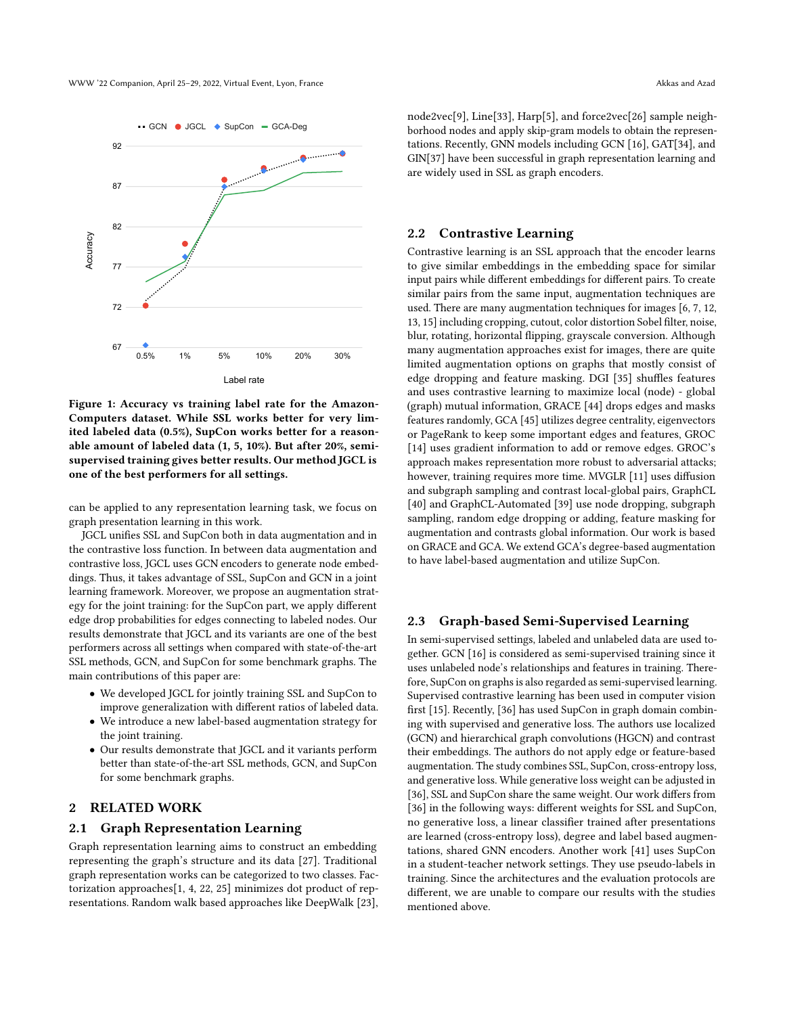<span id="page-1-0"></span>

Figure 1: Accuracy vs training label rate for the Amazon-Computers dataset. While SSL works better for very limited labeled data (0.5%), SupCon works better for a reasonable amount of labeled data (1, 5, 10%). But after 20%, semisupervised training gives better results. Our method JGCL is one of the best performers for all settings.

can be applied to any representation learning task, we focus on graph presentation learning in this work.

JGCL unifies SSL and SupCon both in data augmentation and in the contrastive loss function. In between data augmentation and contrastive loss, JGCL uses GCN encoders to generate node embeddings. Thus, it takes advantage of SSL, SupCon and GCN in a joint learning framework. Moreover, we propose an augmentation strategy for the joint training: for the SupCon part, we apply different edge drop probabilities for edges connecting to labeled nodes. Our results demonstrate that JGCL and its variants are one of the best performers across all settings when compared with state-of-the-art SSL methods, GCN, and SupCon for some benchmark graphs. The main contributions of this paper are:

- We developed JGCL for jointly training SSL and SupCon to improve generalization with different ratios of labeled data. • We introduce a new label-based augmentation strategy for
- the joint training.
- Our results demonstrate that JGCL and it variants perform better than state-of-the-art SSL methods, GCN, and SupCon for some benchmark graphs.

## 2 RELATED WORK

#### 2.1 Graph Representation Learning

Graph representation learning aims to construct an embedding representing the graph's structure and its data [\[27\]](#page-6-27). Traditional graph representation works can be categorized to two classes. Factorization approaches[\[1,](#page-5-0) [4,](#page-6-28) [22,](#page-6-29) [25\]](#page-6-30) minimizes dot product of representations. Random walk based approaches like DeepWalk [\[23\]](#page-6-31), node2vec[\[9\]](#page-6-32), Line[\[33\]](#page-6-33), Harp[\[5\]](#page-6-34), and force2vec[\[26\]](#page-6-35) sample neighborhood nodes and apply skip-gram models to obtain the representations. Recently, GNN models including GCN [\[16\]](#page-6-2), GAT[\[34\]](#page-6-3), and GIN[\[37\]](#page-6-4) have been successful in graph representation learning and are widely used in SSL as graph encoders.

## 2.2 Contrastive Learning

Contrastive learning is an SSL approach that the encoder learns to give similar embeddings in the embedding space for similar input pairs while different embeddings for different pairs. To create similar pairs from the same input, augmentation techniques are used. There are many augmentation techniques for images [\[6,](#page-6-36) [7,](#page-6-37) [12,](#page-6-38) [13,](#page-6-39) [15\]](#page-6-26) including cropping, cutout, color distortion Sobel filter, noise, blur, rotating, horizontal flipping, grayscale conversion. Although many augmentation approaches exist for images, there are quite limited augmentation options on graphs that mostly consist of edge dropping and feature masking. DGI [\[35\]](#page-6-25) shuffles features and uses contrastive learning to maximize local (node) - global (graph) mutual information, GRACE [\[44\]](#page-6-23) drops edges and masks features randomly, GCA [\[45\]](#page-6-24) utilizes degree centrality, eigenvectors or PageRank to keep some important edges and features, GROC [\[14\]](#page-6-17) uses gradient information to add or remove edges. GROC's approach makes representation more robust to adversarial attacks; however, training requires more time. MVGLR [\[11\]](#page-6-16) uses diffusion and subgraph sampling and contrast local-global pairs, GraphCL [\[40\]](#page-6-22) and GraphCL-Automated [\[39\]](#page-6-21) use node dropping, subgraph sampling, random edge dropping or adding, feature masking for augmentation and contrasts global information. Our work is based on GRACE and GCA. We extend GCA's degree-based augmentation to have label-based augmentation and utilize SupCon.

#### 2.3 Graph-based Semi-Supervised Learning

In semi-supervised settings, labeled and unlabeled data are used together. GCN [\[16\]](#page-6-2) is considered as semi-supervised training since it uses unlabeled node's relationships and features in training. Therefore, SupCon on graphs is also regarded as semi-supervised learning. Supervised contrastive learning has been used in computer vision first [\[15\]](#page-6-26). Recently, [\[36\]](#page-6-12) has used SupCon in graph domain combining with supervised and generative loss. The authors use localized (GCN) and hierarchical graph convolutions (HGCN) and contrast their embeddings. The authors do not apply edge or feature-based augmentation. The study combines SSL, SupCon, cross-entropy loss, and generative loss. While generative loss weight can be adjusted in [\[36\]](#page-6-12), SSL and SupCon share the same weight. Our work differs from [\[36\]](#page-6-12) in the following ways: different weights for SSL and SupCon, no generative loss, a linear classifier trained after presentations are learned (cross-entropy loss), degree and label based augmentations, shared GNN encoders. Another work [\[41\]](#page-6-14) uses SupCon in a student-teacher network settings. They use pseudo-labels in training. Since the architectures and the evaluation protocols are different, we are unable to compare our results with the studies mentioned above.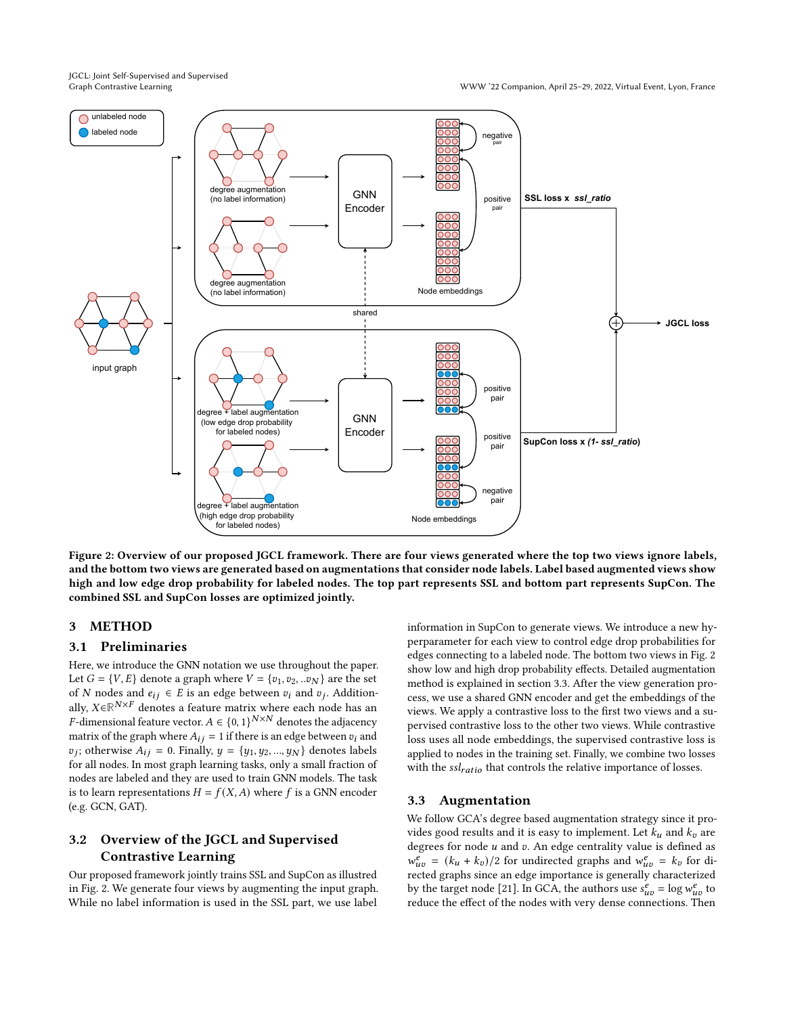JGCL: Joint Self-Supervised and Supervised

<span id="page-2-0"></span>

Figure 2: Overview of our proposed JGCL framework. There are four views generated where the top two views ignore labels, and the bottom two views are generated based on augmentations that consider node labels. Label based augmented views show high and low edge drop probability for labeled nodes. The top part represents SSL and bottom part represents SupCon. The combined SSL and SupCon losses are optimized jointly.

## 3 METHOD

#### 3.1 Preliminaries

Here, we introduce the GNN notation we use throughout the paper. Let  $G = \{V, E\}$  denote a graph where  $V = \{v_1, v_2, ... v_N\}$  are the set of N nodes and  $e_{ij} \in E$  is an edge between  $v_i$  and  $v_j$ . Additionally,  $X \in \mathbb{R}^{N \times F}$  denotes a feature matrix where each node has an *F*-dimensional feature vector.  $A \in \{0, 1\}^{N \times N}$  denotes the adjacency matrix of the graph where  $A_{ij} = 1$  if there is an edge between  $v_i$  and  $v_j$ ; otherwise  $A_{ij} = 0$ . Finally,  $y = \{y_1, y_2, ..., y_N\}$  denotes labels for all nodes. In most graph learning tasks, only a small fraction of nodes are labeled and they are used to train GNN models. The task is to learn representations  $H = f(X, A)$  where f is a GNN encoder (e.g. GCN, GAT).

## 3.2 Overview of the JGCL and Supervised Contrastive Learning

Our proposed framework jointly trains SSL and SupCon as illustred in Fig. [2.](#page-2-0) We generate four views by augmenting the input graph. While no label information is used in the SSL part, we use label information in SupCon to generate views. We introduce a new hyperparameter for each view to control edge drop probabilities for edges connecting to a labeled node. The bottom two views in Fig. [2](#page-2-0) show low and high drop probability effects. Detailed augmentation method is explained in section [3.3.](#page-2-1) After the view generation process, we use a shared GNN encoder and get the embeddings of the views. We apply a contrastive loss to the first two views and a supervised contrastive loss to the other two views. While contrastive loss uses all node embeddings, the supervised contrastive loss is applied to nodes in the training set. Finally, we combine two losses with the  $\textit{ssl}_{ratio}$  that controls the relative importance of losses.

## <span id="page-2-1"></span>3.3 Augmentation

We follow GCA's degree based augmentation strategy since it provides good results and it is easy to implement. Let  $k_u$  and  $k_v$  are degrees for node  $u$  and  $v$ . An edge centrality value is defined as  $w_{uv}^e = (k_u + k_v)/2$  for undirected graphs and  $w_{uv}^e = k_v$  for directed graphs since an edge importance is generally characterized by the target node [\[21\]](#page-6-40). In GCA, the authors use  $s_{uv}^e = \log w_{uv}^e$  to reduce the effect of the nodes with very dense connections. Then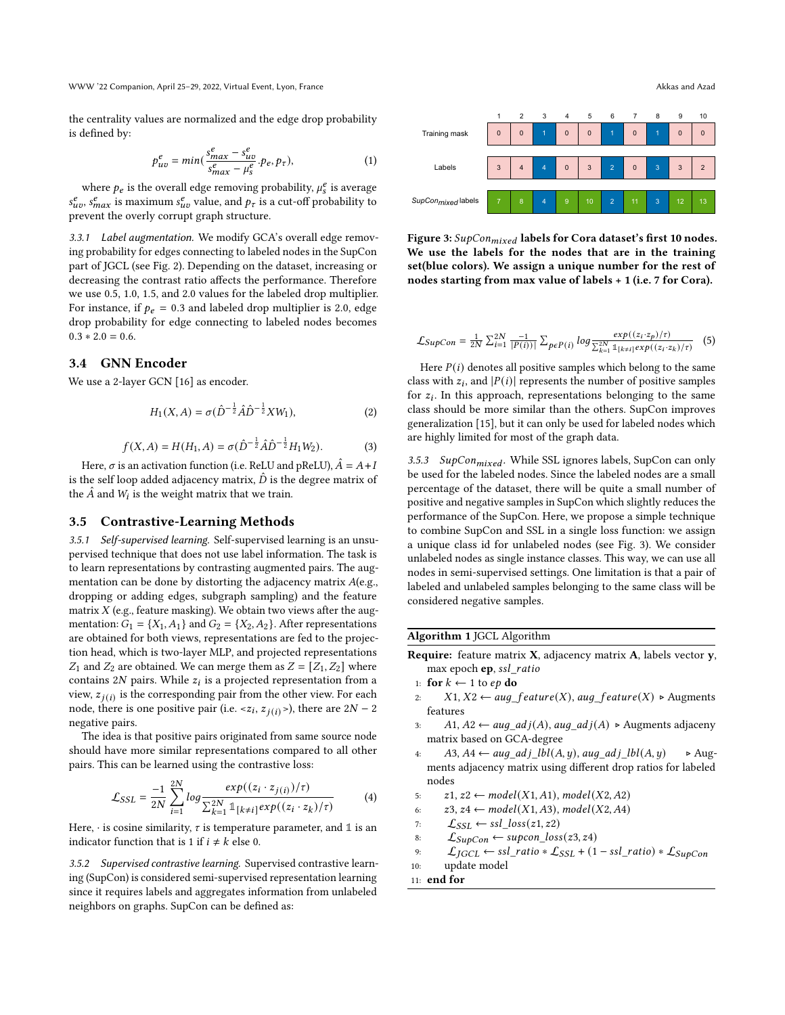WWW '22 Companion, April 25–29, 2022, Virtual Event, Lyon, France Akkas and Azad

the centrality values are normalized and the edge drop probability is defined by:

$$
p_{uv}^e = min(\frac{s_{max}^e - s_{uv}^e}{s_{max}^e - \mu_s^e} \cdot p_e, p_\tau),
$$
\n(1)

where  $p_e$  is the overall edge removing probability,  $\mu_s^e$  is average  $s_{uv}^e$ ,  $s_{max}^e$  is maximum  $s_{uv}^e$  value, and  $p_{\tau}$  is a cut-off probability to prevent the overly corrupt graph structure.

3.3.1 Label augmentation. We modify GCA's overall edge removing probability for edges connecting to labeled nodes in the SupCon part of JGCL (see Fig. [2\)](#page-2-0). Depending on the dataset, increasing or decreasing the contrast ratio affects the performance. Therefore we use 0.5, 1.0, 1.5, and 2.0 values for the labeled drop multiplier. For instance, if  $p_e = 0.3$  and labeled drop multiplier is 2.0, edge drop probability for edge connecting to labeled nodes becomes  $0.3 * 2.0 = 0.6$ .

## 3.4 GNN Encoder

We use a 2-layer GCN [\[16\]](#page-6-2) as encoder.

$$
H_1(X, A) = \sigma(\hat{D}^{-\frac{1}{2}}\hat{A}\hat{D}^{-\frac{1}{2}}XW_1),
$$
 (2)

$$
f(X, A) = H(H_1, A) = \sigma(\hat{D}^{-\frac{1}{2}}\hat{A}\hat{D}^{-\frac{1}{2}}H_1W_2).
$$
 (3)

Here,  $\sigma$  is an activation function (i.e. ReLU and pReLU),  $\hat{A} = A + I$ is the self loop added adjacency matrix,  $\hat{D}$  is the degree matrix of the  $\hat{A}$  and  $W_l$  is the weight matrix that we train.

#### 3.5 Contrastive-Learning Methods

3.5.1 Self-supervised learning. Self-supervised learning is an unsupervised technique that does not use label information. The task is to learn representations by contrasting augmented pairs. The augmentation can be done by distorting the adjacency matrix  $A(e.g.,)$ dropping or adding edges, subgraph sampling) and the feature matrix  $X$  (e.g., feature masking). We obtain two views after the augmentation:  $G_1 = \{X_1, A_1\}$  and  $G_2 = \{X_2, A_2\}$ . After representations are obtained for both views, representations are fed to the projection head, which is two-layer MLP, and projected representations  $Z_1$  and  $Z_2$  are obtained. We can merge them as  $Z = [Z_1, Z_2]$  where contains  $2N$  pairs. While  $z_i$  is a projected representation from a view,  $z_{j(i)}$  is the corresponding pair from the other view. For each node, there is one positive pair (i.e. <z<sub>i</sub>,  $z_{j(i)}$ >), there are 2N – 2 negative pairs.

The idea is that positive pairs originated from same source node should have more similar representations compared to all other pairs. This can be learned using the contrastive loss:

$$
\mathcal{L}_{SSL} = \frac{-1}{2N} \sum_{i=1}^{2N} log \frac{exp((z_i \cdot z_{j(i)})/\tau)}{\sum_{k=1}^{2N} \mathbb{1}_{[k \neq i]} exp((z_i \cdot z_k)/\tau)}
$$
(4)

Here,  $\cdot$  is cosine similarity,  $\tau$  is temperature parameter, and 1 is an indicator function that is 1 if  $i \neq k$  else 0.

3.5.2 Supervised contrastive learning. Supervised contrastive learning (SupCon) is considered semi-supervised representation learning since it requires labels and aggregates information from unlabeled neighbors on graphs. SupCon can be defined as:

<span id="page-3-0"></span>

Figure 3: SupCon<sub>mixed</sub> labels for Cora dataset's first 10 nodes. We use the labels for the nodes that are in the training set(blue colors). We assign a unique number for the rest of nodes starting from max value of labels + 1 (i.e. 7 for Cora).

$$
\mathcal{L}_{SupCon} = \frac{1}{2N} \sum_{i=1}^{2N} \frac{-1}{|P(i)|} \sum_{p \in P(i)} \log \frac{\exp((z_i \cdot z_p)/\tau)}{\sum_{k=1}^{2N} \mathbb{1}_{[k \neq i]} \exp((z_i \cdot z_k)/\tau)} \quad (5)
$$

Here  $P(i)$  denotes all positive samples which belong to the same class with  $z_i$ , and  $|P(i)|$  represents the number of positive samples for  $z_i$ . In this approach, representations belonging to the same class should be more similar than the others. SupCon improves generalization [\[15\]](#page-6-26), but it can only be used for labeled nodes which are highly limited for most of the graph data.

3.5.3 SupCon $_{mixed}$ . While SSL ignores labels, SupCon can only be used for the labeled nodes. Since the labeled nodes are a small percentage of the dataset, there will be quite a small number of positive and negative samples in SupCon which slightly reduces the performance of the SupCon. Here, we propose a simple technique to combine SupCon and SSL in a single loss function: we assign a unique class id for unlabeled nodes (see Fig. [3\)](#page-3-0). We consider unlabeled nodes as single instance classes. This way, we can use all nodes in semi-supervised settings. One limitation is that a pair of labeled and unlabeled samples belonging to the same class will be considered negative samples.

## <span id="page-3-1"></span>Algorithm 1 JGCL Algorithm

- Require: feature matrix X, adjacency matrix A, labels vector y, max epoch ep, ssl\_ratio
- 1: for  $k \leftarrow 1$  to  $ep$  do
- 2:  $X1, X2 \leftarrow aug\_feature(X), aug\_feature(X) \rightarrow Augusts$ features
- 3:  $A1, A2 \leftarrow aug\_adj(A), aug\_adj(A) \rightarrow Augusts$  adjaceny matrix based on GCA-degree
- 4:  $A3, A4 \leftarrow aug\_adj\_lbl(A, y), aug\_adj\_lbl(A, y)$   $\triangleright$  Augments adjacency matrix using different drop ratios for labeled nodes

5:  $z1, z2 \leftarrow model(X1, A1), model(X2, A2)$ 

6: 
$$
z3, z4 \leftarrow model(X1, A3), model(X2, A4)
$$

7: 
$$
\mathcal{L}_{SSL} \leftarrow \text{ssl} \_loss(z1, z2)
$$

- 8:  $\mathcal{L}_{\text{SupCon}} \leftarrow \text{supcon\_loss}(z3, z4)$
- 9:  $\mathcal{L}_{JGCL} \leftarrow \text{ssl\_ratio} * \mathcal{L}_{SSL} + (1 \text{ssl\_ratio}) * \mathcal{L}_{SupCon}$

10: update model

```
11: end for
```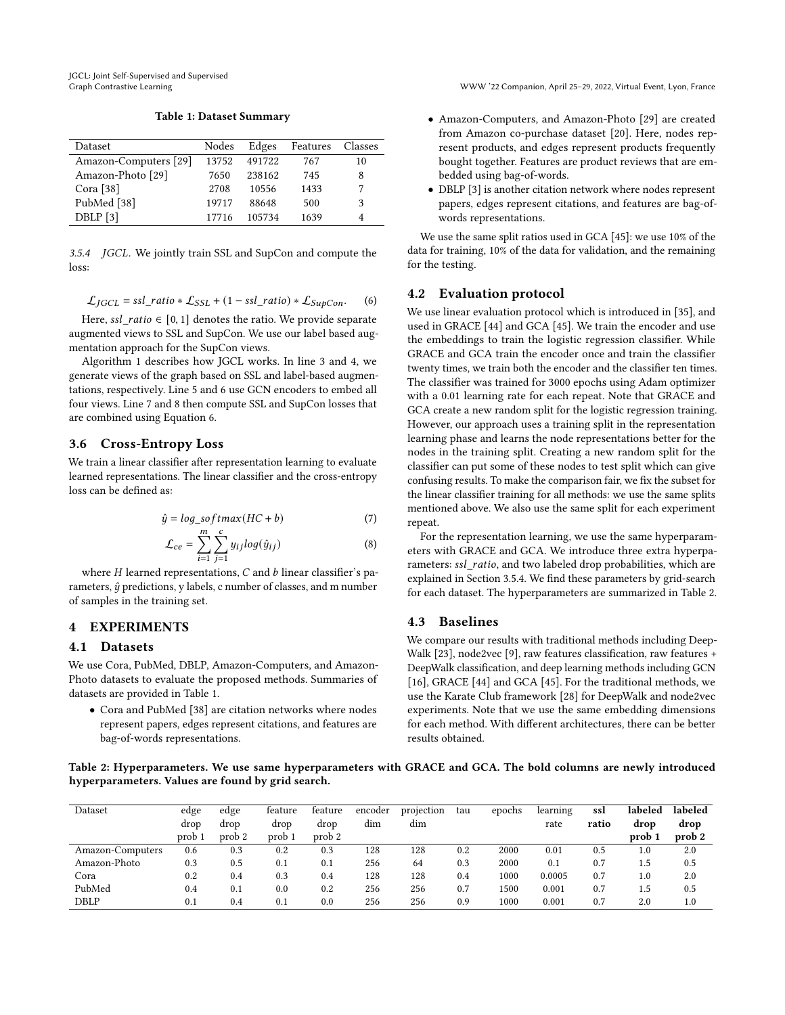Table 1: Dataset Summary

<span id="page-4-1"></span>

| <b>Dataset</b>        | Nodes | Edges  | Features | Classes |
|-----------------------|-------|--------|----------|---------|
| Amazon-Computers [29] | 13752 | 491722 | 767      | 10      |
| Amazon-Photo [29]     | 7650  | 238162 | 745      | 8       |
| Cora $[38]$           | 2708  | 10556  | 1433     |         |
| PubMed [38]           | 19717 | 88648  | 500      | 3       |
| DBLP [3]              | 17716 | 105734 | 1639     |         |

<span id="page-4-2"></span>3.5.4 JGCL. We jointly train SSL and SupCon and compute the loss:

<span id="page-4-0"></span>
$$
\mathcal{L}_{IGCL} = \text{ssl\_ratio} * \mathcal{L}_{SSL} + (1 - \text{ssl\_ratio}) * \mathcal{L}_{\text{SupCon}}.
$$
 (6)

Here, ssl\_ratio  $\in$  [0, 1] denotes the ratio. We provide separate augmented views to SSL and SupCon. We use our label based augmentation approach for the SupCon views.

Algorithm [1](#page-3-1) describes how JGCL works. In line 3 and 4, we generate views of the graph based on SSL and label-based augmentations, respectively. Line 5 and 6 use GCN encoders to embed all four views. Line 7 and 8 then compute SSL and SupCon losses that are combined using Equation [6.](#page-4-0)

## 3.6 Cross-Entropy Loss

We train a linear classifier after representation learning to evaluate learned representations. The linear classifier and the cross-entropy loss can be defined as:

$$
\hat{y} = \log_{10} \text{softmax}(HC + b) \tag{7}
$$

$$
\mathcal{L}_{ce} = \sum_{i=1}^{m} \sum_{j=1}^{c} y_{ij} log(\hat{y}_{ij})
$$
 (8)

where  $H$  learned representations,  $C$  and  $b$  linear classifier's parameters,  $\hat{y}$  predictions, y labels, c number of classes, and m number of samples in the training set.

## 4 EXPERIMENTS

#### 4.1 Datasets

We use Cora, PubMed, DBLP, Amazon-Computers, and Amazon-Photo datasets to evaluate the proposed methods. Summaries of datasets are provided in Table [1.](#page-4-1)

• Cora and PubMed [\[38\]](#page-6-13) are citation networks where nodes represent papers, edges represent citations, and features are bag-of-words representations.

- Amazon-Computers, and Amazon-Photo [\[29\]](#page-6-41) are created from Amazon co-purchase dataset [\[20\]](#page-6-43). Here, nodes represent products, and edges represent products frequently bought together. Features are product reviews that are embedded using bag-of-words.
- DBLP [\[3\]](#page-6-42) is another citation network where nodes represent papers, edges represent citations, and features are bag-ofwords representations.

We use the same split ratios used in GCA [\[45\]](#page-6-24): we use 10% of the data for training, 10% of the data for validation, and the remaining for the testing.

### 4.2 Evaluation protocol

We use linear evaluation protocol which is introduced in [\[35\]](#page-6-25), and used in GRACE [\[44\]](#page-6-23) and GCA [\[45\]](#page-6-24). We train the encoder and use the embeddings to train the logistic regression classifier. While GRACE and GCA train the encoder once and train the classifier twenty times, we train both the encoder and the classifier ten times. The classifier was trained for 3000 epochs using Adam optimizer with a 0.01 learning rate for each repeat. Note that GRACE and GCA create a new random split for the logistic regression training. However, our approach uses a training split in the representation learning phase and learns the node representations better for the nodes in the training split. Creating a new random split for the classifier can put some of these nodes to test split which can give confusing results. To make the comparison fair, we fix the subset for the linear classifier training for all methods: we use the same splits mentioned above. We also use the same split for each experiment repeat.

For the representation learning, we use the same hyperparameters with GRACE and GCA. We introduce three extra hyperparameters: ssl\_ratio, and two labeled drop probabilities, which are explained in Section [3.5.4.](#page-4-2) We find these parameters by grid-search for each dataset. The hyperparameters are summarized in Table [2.](#page-4-3)

## 4.3 Baselines

We compare our results with traditional methods including Deep-Walk [\[23\]](#page-6-31), node2vec [\[9\]](#page-6-32), raw features classification, raw features + DeepWalk classification, and deep learning methods including GCN [\[16\]](#page-6-2), GRACE [\[44\]](#page-6-23) and GCA [\[45\]](#page-6-24). For the traditional methods, we use the Karate Club framework [\[28\]](#page-6-44) for DeepWalk and node2vec experiments. Note that we use the same embedding dimensions for each method. With different architectures, there can be better results obtained.

<span id="page-4-3"></span>Table 2: Hyperparameters. We use same hyperparameters with GRACE and GCA. The bold columns are newly introduced hyperparameters. Values are found by grid search.

| Dataset          | edge   | edge              | feature | feature           | encoder | projection | tau | epochs   | learning | ssl   | labeled | labeled           |
|------------------|--------|-------------------|---------|-------------------|---------|------------|-----|----------|----------|-------|---------|-------------------|
|                  | drop   | drop              | drop    | drop              | dim     | dim        |     |          | rate     | ratio | drop    | drop              |
|                  | prob 1 | prob <sub>2</sub> | prob 1  | prob <sub>2</sub> |         |            |     |          |          |       | prob 1  | prob <sub>2</sub> |
| Amazon-Computers | 0.6    | 0.3               | 0.2     | 0.3               | 128     | 128        | 0.2 | 2000     | 0.01     | 0.5   | $1.0\,$ | 2.0               |
| Amazon-Photo     | 0.3    | 0.5               | 0.1     | 0.1               | 256     | 64         | 0.3 | 2000     | 0.1      | 0.7   | 1.5     | 0.5               |
| Cora             | 0.2    | 0.4               | 0.3     | 0.4               | 128     | 128        | 0.4 | 1000     | 0.0005   | 0.7   | 1.0     | 2.0               |
| PubMed           | 0.4    | 0.1               | 0.0     | 0.2               | 256     | 256        | 0.7 | 1500     | 0.001    | 0.7   | 1.5     | 0.5               |
| DBLP             | 0.1    | 0.4               | 0.1     | 0.0               | 256     | 256        | 0.9 | $1000\,$ | 0.001    | 0.7   | 2.0     | 1.0               |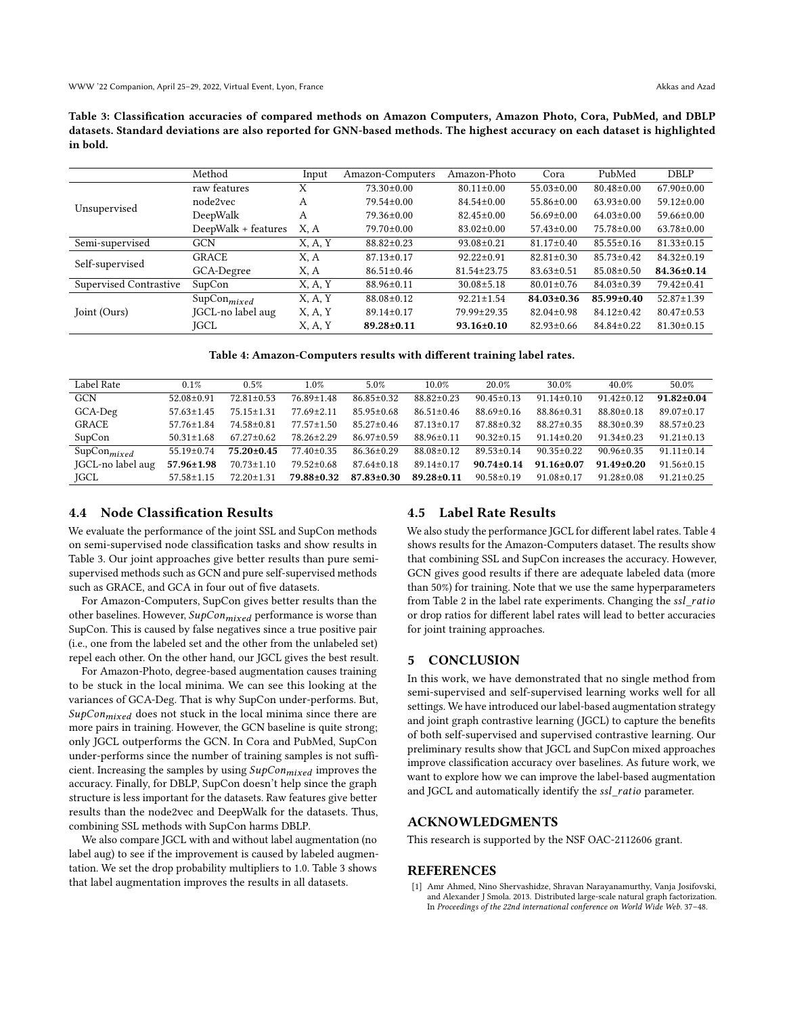<span id="page-5-1"></span>Table 3: Classification accuracies of compared methods on Amazon Computers, Amazon Photo, Cora, PubMed, and DBLP datasets. Standard deviations are also reported for GNN-based methods. The highest accuracy on each dataset is highlighted in bold.

|                        | Method                  | Input   | Amazon-Computers | Amazon-Photo      | Cora             | PubMed           | DBLP             |
|------------------------|-------------------------|---------|------------------|-------------------|------------------|------------------|------------------|
| Unsupervised           | raw features            | Х       | $73.30 \pm 0.00$ | $80.11 \pm 0.00$  | $55.03 \pm 0.00$ | $80.48 \pm 0.00$ | $67.90 \pm 0.00$ |
|                        | node2vec                | А       | 79.54±0.00       | $84.54 \pm 0.00$  | $55.86 \pm 0.00$ | $63.93 \pm 0.00$ | $59.12 \pm 0.00$ |
|                        | DeepWalk                | А       | $79.36 \pm 0.00$ | $82.45 \pm 0.00$  | $56.69 \pm 0.00$ | $64.03 \pm 0.00$ | $59.66 \pm 0.00$ |
|                        | DeepWalk + features     | X. A    | $79.70 \pm 0.00$ | $83.02 \pm 0.00$  | $57.43 \pm 0.00$ | 75.78±0.00       | $63.78 \pm 0.00$ |
| Semi-supervised        | <b>GCN</b>              | X, A, Y | 88.82±0.23       | $93.08 \pm 0.21$  | $81.17 \pm 0.40$ | $85.55 \pm 0.16$ | $81.33 \pm 0.15$ |
| Self-supervised        | <b>GRACE</b>            | X, A    | $87.13 \pm 0.17$ | $92.22 \pm 0.91$  | $82.81 \pm 0.30$ | 85.73±0.42       | $84.32 \pm 0.19$ |
|                        | GCA-Degree              | X, A    | $86.51 \pm 0.46$ | $81.54 \pm 23.75$ | $83.63 \pm 0.51$ | $85.08 \pm 0.50$ | 84.36±0.14       |
| Supervised Contrastive | SupCon                  | X, A, Y | 88.96±0.11       | $30.08 \pm 5.18$  | $80.01 \pm 0.76$ | $84.03 \pm 0.39$ | 79.42±0.41       |
| Joint (Ours)           | SupCon <sub>mixed</sub> | X, A, Y | 88.08±0.12       | $92.21 \pm 1.54$  | $84.03 \pm 0.36$ | 85.99±0.40       | 52.87±1.39       |
|                        | JGCL-no label aug       | X, A, Y | $89.14 \pm 0.17$ | 79.99±29.35       | $82.04 \pm 0.98$ | $84.12 \pm 0.42$ | $80.47 \pm 0.53$ |
|                        | <b>IGCL</b>             | X, A, Y | 89.28±0.11       | $93.16 \pm 0.10$  | $82.93 \pm 0.66$ | 84.84±0.22       | $81.30 \pm 0.15$ |

Table 4: Amazon-Computers results with different training label rates.

<span id="page-5-2"></span>

| Label Rate              | 0.1%             | 0.5%             | $1.0\%$          | 5.0%             | 10.0%            | 20.0%            | 30.0%            | 40.0%            | 50.0%            |
|-------------------------|------------------|------------------|------------------|------------------|------------------|------------------|------------------|------------------|------------------|
| <b>GCN</b>              | $52.08 \pm 0.91$ | $72.81 \pm 0.53$ | 76.89±1.48       | $86.85 \pm 0.32$ | $88.82 \pm 0.23$ | $90.45 \pm 0.13$ | $91.14 \pm 0.10$ | $91.42 \pm 0.12$ | $91.82 \pm 0.04$ |
| GCA-Deg                 | $57.63 \pm 1.45$ | $75.15 \pm 1.31$ | $77.69 \pm 2.11$ | $85.95 \pm 0.68$ | $86.51 \pm 0.46$ | $88.69 \pm 0.16$ | $88.86 \pm 0.31$ | $88.80 \pm 0.18$ | $89.07 \pm 0.17$ |
| <b>GRACE</b>            | $57.76 \pm 1.84$ | 74.58±0.81       | $77.57 \pm 1.50$ | $85.27 \pm 0.46$ | $87.13 \pm 0.17$ | $87.88 \pm 0.32$ | $88.27 \pm 0.35$ | $88.30 \pm 0.39$ | $88.57 \pm 0.23$ |
| SupCon                  | $50.31 \pm 1.68$ | $67.27 \pm 0.62$ | 78.26±2.29       | $86.97 \pm 0.59$ | $88.96 \pm 0.11$ | $90.32 \pm 0.15$ | $91.14 \pm 0.20$ | $91.34 \pm 0.23$ | $91.21 \pm 0.13$ |
| SupCon <sub>mixed</sub> | $55.19 \pm 0.74$ | $75.20 + 0.45$   | $77.40 \pm 0.35$ | $86.36 \pm 0.29$ | $88.08 \pm 0.12$ | $89.53 + 0.14$   | $90.35 + 0.22$   | $90.96 \pm 0.35$ | $91.11 \pm 0.14$ |
| JGCL-no label aug       | $57.96 \pm 1.98$ | $70.73 \pm 1.10$ | $79.52 \pm 0.68$ | $87.64 \pm 0.18$ | $89.14 \pm 0.17$ | $90.74 + 0.14$   | $91.16 + 0.07$   | $91.49 + 0.20$   | $91.56 \pm 0.15$ |
| JGCL                    | $57.58 \pm 1.15$ | $72.20 \pm 1.31$ | 79.88±0.32       | $87.83 \pm 0.30$ | 89.28+0.11       | $90.58 + 0.19$   | $91.08 + 0.17$   | $91.28 + 0.08$   | $91.21 \pm 0.25$ |

## 4.4 Node Classification Results

We evaluate the performance of the joint SSL and SupCon methods on semi-supervised node classification tasks and show results in Table [3.](#page-5-1) Our joint approaches give better results than pure semisupervised methods such as GCN and pure self-supervised methods such as GRACE, and GCA in four out of five datasets.

For Amazon-Computers, SupCon gives better results than the other baselines. However,  $\mathit{SupCon}_{mixed}$  performance is worse than SupCon. This is caused by false negatives since a true positive pair (i.e., one from the labeled set and the other from the unlabeled set) repel each other. On the other hand, our JGCL gives the best result.

For Amazon-Photo, degree-based augmentation causes training to be stuck in the local minima. We can see this looking at the variances of GCA-Deg. That is why SupCon under-performs. But,  $\textit{SupCon}_{mixed}$  does not stuck in the local minima since there are more pairs in training. However, the GCN baseline is quite strong; only JGCL outperforms the GCN. In Cora and PubMed, SupCon under-performs since the number of training samples is not sufficient. Increasing the samples by using  $\text{SupCon}_{mixed}$  improves the accuracy. Finally, for DBLP, SupCon doesn't help since the graph structure is less important for the datasets. Raw features give better results than the node2vec and DeepWalk for the datasets. Thus, combining SSL methods with SupCon harms DBLP.

We also compare JGCL with and without label augmentation (no label aug) to see if the improvement is caused by labeled augmentation. We set the drop probability multipliers to 1.0. Table [3](#page-5-1) shows that label augmentation improves the results in all datasets.

## 4.5 Label Rate Results

We also study the performance JGCL for different label rates. Table [4](#page-5-2) shows results for the Amazon-Computers dataset. The results show that combining SSL and SupCon increases the accuracy. However, GCN gives good results if there are adequate labeled data (more than 50%) for training. Note that we use the same hyperparameters from Table [2](#page-4-3) in the label rate experiments. Changing the ssl\_ratio or drop ratios for different label rates will lead to better accuracies for joint training approaches.

#### 5 CONCLUSION

In this work, we have demonstrated that no single method from semi-supervised and self-supervised learning works well for all settings. We have introduced our label-based augmentation strategy and joint graph contrastive learning (JGCL) to capture the benefits of both self-supervised and supervised contrastive learning. Our preliminary results show that JGCL and SupCon mixed approaches improve classification accuracy over baselines. As future work, we want to explore how we can improve the label-based augmentation and JGCL and automatically identify the ssl\_ratio parameter.

## ACKNOWLEDGMENTS

This research is supported by the NSF OAC-2112606 grant.

### REFERENCES

<span id="page-5-0"></span>[1] Amr Ahmed, Nino Shervashidze, Shravan Narayanamurthy, Vanja Josifovski, and Alexander J Smola. 2013. Distributed large-scale natural graph factorization. In Proceedings of the 22nd international conference on World Wide Web. 37–48.